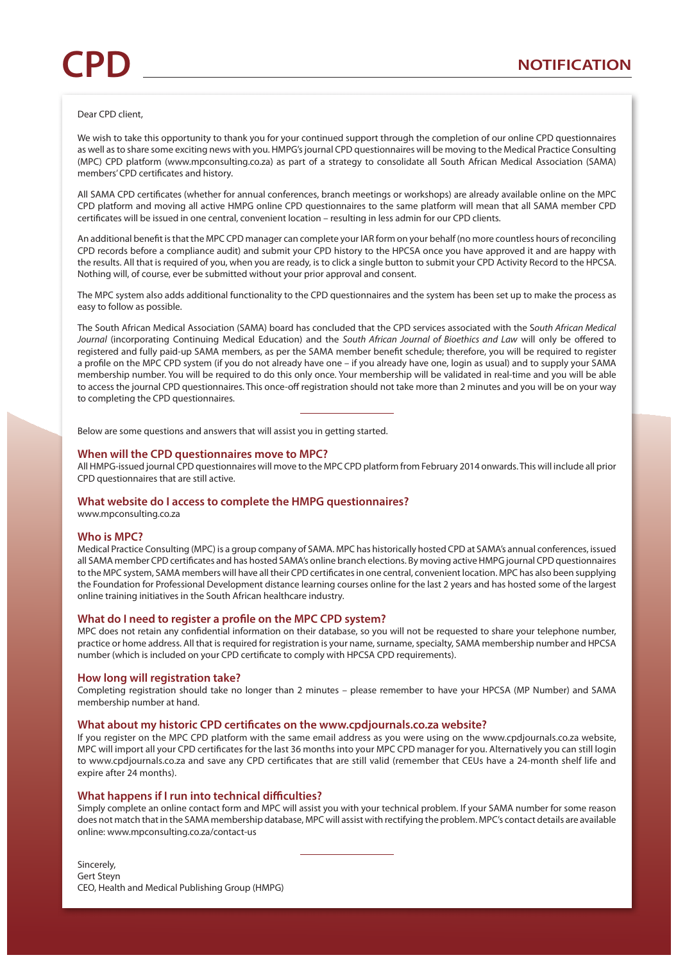#### Dear CPD client,

We wish to take this opportunity to thank you for your continued support through the completion of our online CPD questionnaires as well as to share some exciting news with you. HMPG's journal CPD questionnaires will be moving to the Medical Practice Consulting (MPC) CPD platform (www.mpconsulting.co.za) as part of a strategy to consolidate all South African Medical Association (SAMA) members' CPD certificates and history.

All SAMA CPD certificates (whether for annual conferences, branch meetings or workshops) are already available online on the MPC CPD platform and moving all active HMPG online CPD questionnaires to the same platform will mean that all SAMA member CPD certificates will be issued in one central, convenient location – resulting in less admin for our CPD clients.

An additional benefit is that the MPC CPD manager can complete your IAR form on your behalf (no more countless hours of reconciling CPD records before a compliance audit) and submit your CPD history to the HPCSA once you have approved it and are happy with the results. All that is required of you, when you are ready, is to click a single button to submit your CPD Activity Record to the HPCSA. Nothing will, of course, ever be submitted without your prior approval and consent.

The MPC system also adds additional functionality to the CPD questionnaires and the system has been set up to make the process as easy to follow as possible.

The South African Medical Association (SAMA) board has concluded that the CPD services associated with the S*outh African Medical*  Journal (incorporating Continuing Medical Education) and the South African Journal of Bioethics and Law will only be offered to registered and fully paid-up SAMA members, as per the SAMA member benefit schedule; therefore, you will be required to register a profile on the MPC CPD system (if you do not already have one – if you already have one, login as usual) and to supply your SAMA membership number. You will be required to do this only once. Your membership will be validated in real-time and you will be able to access the journal CPD questionnaires. This once-off registration should not take more than 2 minutes and you will be on your way to completing the CPD questionnaires.

Below are some questions and answers that will assist you in getting started.

#### **When will the CPD questionnaires move to MPC?**

All HMPG-issued journal CPD questionnaires will move to the MPC CPD platform from February 2014 onwards. This will include all prior CPD questionnaires that are still active.

#### **What website do I access to complete the HMPG questionnaires?**

www.mpconsulting.co.za

## **Who is MPC?**

Medical Practice Consulting (MPC) is a group company of SAMA. MPC has historically hosted CPD at SAMA's annual conferences, issued all SAMA member CPD certificates and has hosted SAMA's online branch elections. By moving active HMPG journal CPD questionnaires to the MPC system, SAMA members will have all their CPD certificates in one central, convenient location. MPC has also been supplying the Foundation for Professional Development distance learning courses online for the last 2 years and has hosted some of the largest online training initiatives in the South African healthcare industry.

## What do I need to register a profile on the MPC CPD system?

MPC does not retain any confidential information on their database, so you will not be requested to share your telephone number, practice or home address. All that is required for registration is your name, surname, specialty, SAMA membership number and HPCSA number (which is included on your CPD certificate to comply with HPCSA CPD requirements).

## **How long will registration take?**

Completing registration should take no longer than 2 minutes – please remember to have your HPCSA (MP Number) and SAMA membership number at hand.

#### What about my historic CPD certificates on the www.cpdjournals.co.za website?

If you register on the MPC CPD platform with the same email address as you were using on the www.cpdjournals.co.za website, MPC will import all your CPD certificates for the last 36 months into your MPC CPD manager for you. Alternatively you can still login to www.cpdjournals.co.za and save any CPD certificates that are still valid (remember that CEUs have a 24-month shelf life and expire after 24 months).

## **What happens if I run into technical difficulties?**

Simply complete an online contact form and MPC will assist you with your technical problem. If your SAMA number for some reason does not match that in the SAMA membership database, MPC will assist with rectifying the problem. MPC's contact details are available online: www.mpconsulting.co.za/contact-us

Sincerely, Gert Steyn CEO, Health and Medical Publishing Group (HMPG)